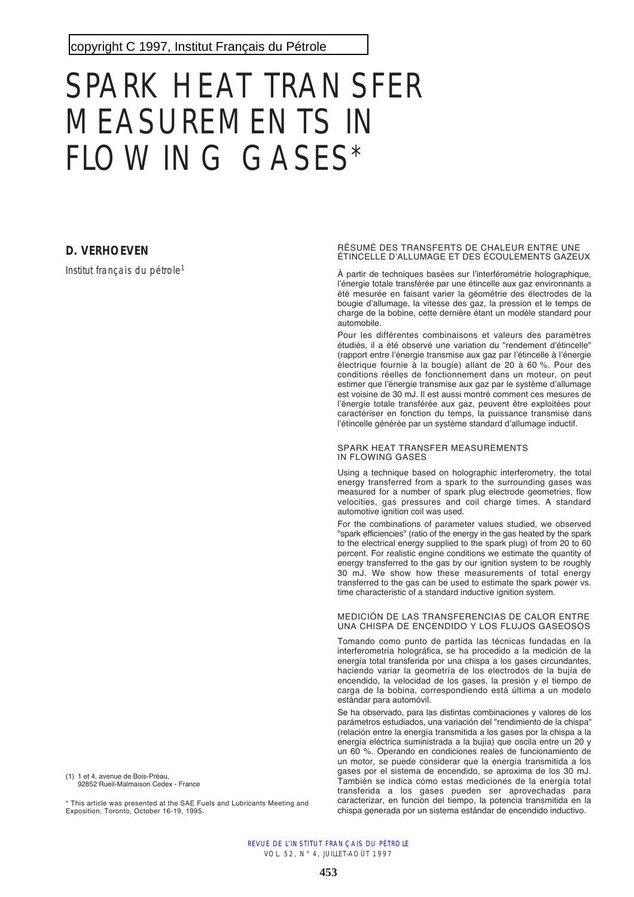copyright C 1997, [Institut Français du Pétrole](http://www.ifp.fr/)

# SPARK HEAT TRANSFER MEASUREMENTS IN FLOWING GASES\*

# **D. VERHOEVEN**

Institut français du pétrole<sup>1</sup>

(1) 1 et 4, avenue de Bois-Préau, 92852 Rueil-Malmaison Cedex - France

\* This article was presented at the SAE Fuels and Lubricants Meeting and Exposition, Toronto, October 16-19, 1995.

#### RÉSUMÉ DES TRANSFERTS DE CHALEUR ENTRE UNE ÉTINCELLE D'ALLUMAGE ET DES ÉCOULEMENTS GAZEUX

À partir de techniques basées sur l'interférométrie holographique, l'énergie totale transférée par une étincelle aux gaz environnants a été mesurée en faisant varier la géométrie des électrodes de la bougie d'allumage, la vitesse des gaz, la pression et le temps de charge de la bobine, cette dernière étant un modèle standard pour automobile.

Pour les différentes combinaisons et valeurs des paramètres étudiés, il a été observé une variation du "rendement d'étincelle" (rapport entre l'énergie transmise aux gaz par l'étincelle à l'énergie électrique fournie à la bougie) allant de 20 à 60 %. Pour des conditions réelles de fonctionnement dans un moteur, on peut estimer que l'énergie transmise aux gaz par le système d'allumage est voisine de 30 mJ. Il est aussi montré comment ces mesures de l'énergie totale transférée aux gaz, peuvent être exploitées pour caractériser en fonction du temps, la puissance transmise dans l'étincelle générée par un système standard d'allumage inductif.

#### SPARK HEAT TRANSFER MEASUREMENTS IN FLOWING GASES

Using a technique based on holographic interferometry, the total energy transferred from a spark to the surrounding gases was measured for a number of spark plug electrode geometries, flow velocities, gas pressures and coil charge times. A standard automotive ignition coil was used.

For the combinations of parameter values studied, we observed "spark efficiencies" (ratio of the energy in the gas heated by the spark to the electrical energy supplied to the spark plug) of from 20 to 60 percent. For realistic engine conditions we estimate the quantity of energy transferred to the gas by our ignition system to be roughly 30 mJ. We show how these measurements of total energy transferred to the gas can be used to estimate the spark power vs. time characteristic of a standard inductive ignition system.

#### MEDICIÓN DE LAS TRANSFERENCIAS DE CALOR ENTRE UNA CHISPA DE ENCENDIDO Y LOS FLUJOS GASEOSOS

Tomando como punto de partida las técnicas fundadas en la interferometría holográfica, se ha procedido a la medición de la energía total transferida por una chispa a los gases circundantes, haciendo variar la geometría de los electrodos de la bujía de encendido, la velocidad de los gases, la presión y el tiempo de carga de la bobina, correspondiendo está última a un modelo estándar para automóvil.

Se ha observado, para las distintas combinaciones y valores de los parámetros estudiados, una variación del "rendimiento de la chispa" (relación entre la energía transmitida a los gases por la chispa a la energía eléctrica suministrada a la bujía) que oscila entre un 20 y un 60 %. Operando en condiciones reales de funcionamiento de un motor, se puede considerar que la energía transmitida a los gases por el sistema de encendido, se aproxima de los 30 mJ. También se indica cómo estas mediciones de la energía total transferida a los gases pueden ser aprovechadas para caracterizar, en función del tiempo, la potencia transmitida en la chispa generada por un sistema estándar de encendido inductivo.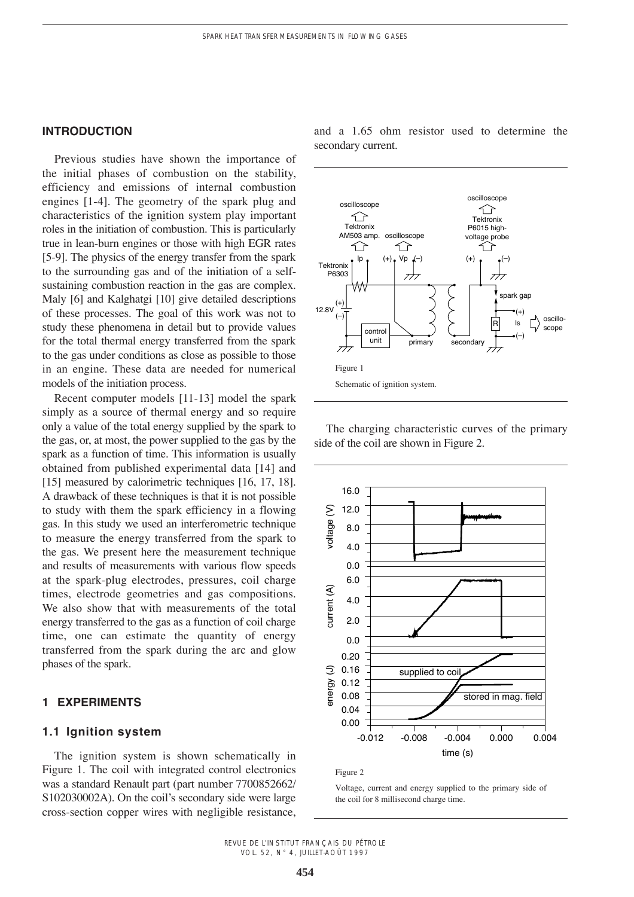## **INTRODUCTION**

Previous studies have shown the importance of the initial phases of combustion on the stability, efficiency and emissions of internal combustion engines [1-4]. The geometry of the spark plug and characteristics of the ignition system play important roles in the initiation of combustion. This is particularly true in lean-burn engines or those with high EGR rates [5-9]. The physics of the energy transfer from the spark to the surrounding gas and of the initiation of a selfsustaining combustion reaction in the gas are complex. Maly [6] and Kalghatgi [10] give detailed descriptions of these processes. The goal of this work was not to study these phenomena in detail but to provide values for the total thermal energy transferred from the spark to the gas under conditions as close as possible to those in an engine. These data are needed for numerical models of the initiation process.

Recent computer models [11-13] model the spark simply as a source of thermal energy and so require only a value of the total energy supplied by the spark to the gas, or, at most, the power supplied to the gas by the spark as a function of time. This information is usually obtained from published experimental data [14] and [15] measured by calorimetric techniques [16, 17, 18]. A drawback of these techniques is that it is not possible to study with them the spark efficiency in a flowing gas. In this study we used an interferometric technique to measure the energy transferred from the spark to the gas. We present here the measurement technique and results of measurements with various flow speeds at the spark-plug electrodes, pressures, coil charge times, electrode geometries and gas compositions. We also show that with measurements of the total energy transferred to the gas as a function of coil charge time, one can estimate the quantity of energy transferred from the spark during the arc and glow phases of the spark.

## **1 EXPERIMENTS**

## **1.1 Ignition system**

The ignition system is shown schematically in Figure 1. The coil with integrated control electronics was a standard Renault part (part number 7700852662/ S102030002A). On the coil's secondary side were large cross-section copper wires with negligible resistance, and a 1.65 ohm resistor used to determine the secondary current.



The charging characteristic curves of the primary side of the coil are shown in Figure 2.



Figure 2

Voltage, current and energy supplied to the primary side of the coil for 8 millisecond charge time.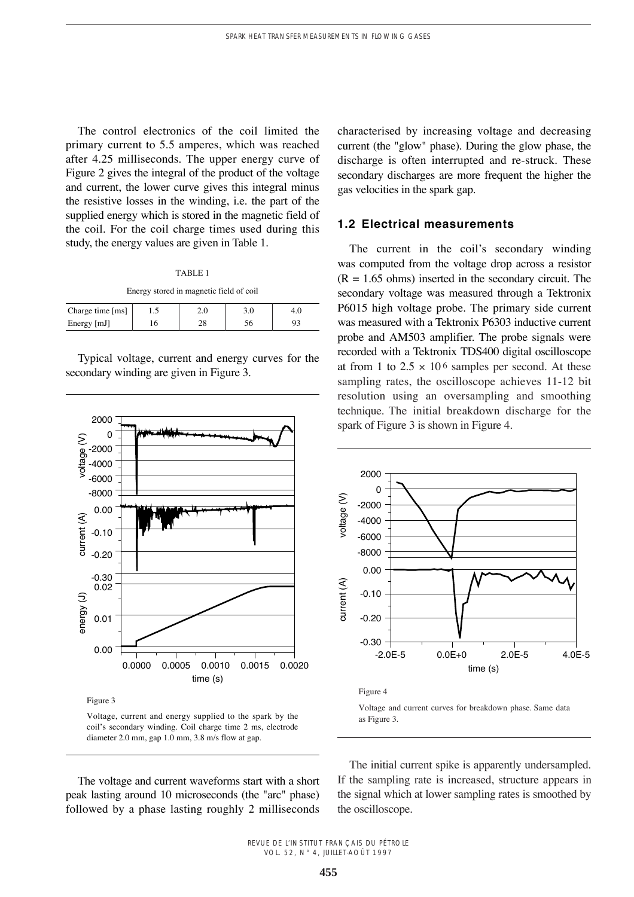The control electronics of the coil limited the primary current to 5.5 amperes, which was reached after 4.25 milliseconds. The upper energy curve of Figure 2 gives the integral of the product of the voltage and current, the lower curve gives this integral minus the resistive losses in the winding, i.e. the part of the supplied energy which is stored in the magnetic field of the coil. For the coil charge times used during this study, the energy values are given in Table 1.

#### TABLE 1

#### Energy stored in magnetic field of coil

| Charge time [ms] | ر. 1 |  |  |
|------------------|------|--|--|
| Energy [mJ]      |      |  |  |

Typical voltage, current and energy curves for the secondary winding are given in Figure 3.



Figure 3

Voltage, current and energy supplied to the spark by the coil's secondary winding. Coil charge time 2 ms, electrode diameter 2.0 mm, gap 1.0 mm, 3.8 m/s flow at gap.

The voltage and current waveforms start with a short peak lasting around 10 microseconds (the "arc" phase) followed by a phase lasting roughly 2 milliseconds characterised by increasing voltage and decreasing current (the "glow" phase). During the glow phase, the discharge is often interrupted and re-struck. These secondary discharges are more frequent the higher the gas velocities in the spark gap.

## **1.2 Electrical measurements**

The current in the coil's secondary winding was computed from the voltage drop across a resistor  $(R = 1.65$  ohms) inserted in the secondary circuit. The secondary voltage was measured through a Tektronix P6015 high voltage probe. The primary side current was measured with a Tektronix P6303 inductive current probe and AM503 amplifier. The probe signals were recorded with a Tektronix TDS400 digital oscilloscope at from 1 to  $2.5 \times 10^6$  samples per second. At these sampling rates, the oscilloscope achieves 11-12 bit resolution using an oversampling and smoothing technique. The initial breakdown discharge for the spark of Figure 3 is shown in Figure 4.



Voltage and current curves for breakdown phase. Same data as Figure 3.

The initial current spike is apparently undersampled. If the sampling rate is increased, structure appears in the signal which at lower sampling rates is smoothed by the oscilloscope.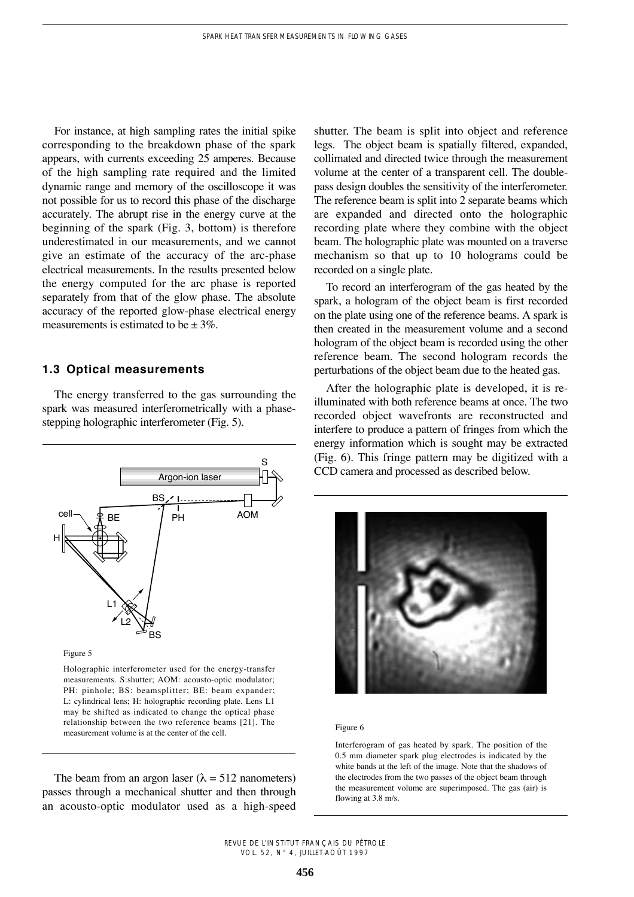For instance, at high sampling rates the initial spike corresponding to the breakdown phase of the spark appears, with currents exceeding 25 amperes. Because of the high sampling rate required and the limited dynamic range and memory of the oscilloscope it was not possible for us to record this phase of the discharge accurately. The abrupt rise in the energy curve at the beginning of the spark (Fig. 3, bottom) is therefore underestimated in our measurements, and we cannot give an estimate of the accuracy of the arc-phase electrical measurements. In the results presented below the energy computed for the arc phase is reported separately from that of the glow phase. The absolute accuracy of the reported glow-phase electrical energy measurements is estimated to be  $\pm$  3%.

## **1.3 Optical measurements**

The energy transferred to the gas surrounding the spark was measured interferometrically with a phasestepping holographic interferometer (Fig. 5).



Figure 5

Holographic interferometer used for the energy-transfer measurements. S:shutter; AOM: acousto-optic modulator; PH: pinhole; BS: beamsplitter; BE: beam expander; L: cylindrical lens; H: holographic recording plate. Lens L1 may be shifted as indicated to change the optical phase relationship between the two reference beams [21]. The measurement volume is at the center of the cell.

The beam from an argon laser ( $\lambda = 512$  nanometers) passes through a mechanical shutter and then through an acousto-optic modulator used as a high-speed shutter. The beam is split into object and reference legs. The object beam is spatially filtered, expanded, collimated and directed twice through the measurement volume at the center of a transparent cell. The doublepass design doubles the sensitivity of the interferometer. The reference beam is split into 2 separate beams which are expanded and directed onto the holographic recording plate where they combine with the object beam. The holographic plate was mounted on a traverse mechanism so that up to 10 holograms could be recorded on a single plate.

To record an interferogram of the gas heated by the spark, a hologram of the object beam is first recorded on the plate using one of the reference beams. A spark is then created in the measurement volume and a second hologram of the object beam is recorded using the other reference beam. The second hologram records the perturbations of the object beam due to the heated gas.

After the holographic plate is developed, it is reilluminated with both reference beams at once. The two recorded object wavefronts are reconstructed and interfere to produce a pattern of fringes from which the energy information which is sought may be extracted (Fig. 6). This fringe pattern may be digitized with a CCD camera and processed as described below.



#### Figure 6

Interferogram of gas heated by spark. The position of the 0.5 mm diameter spark plug electrodes is indicated by the white bands at the left of the image. Note that the shadows of the electrodes from the two passes of the object beam through the measurement volume are superimposed. The gas (air) is flowing at 3.8 m/s.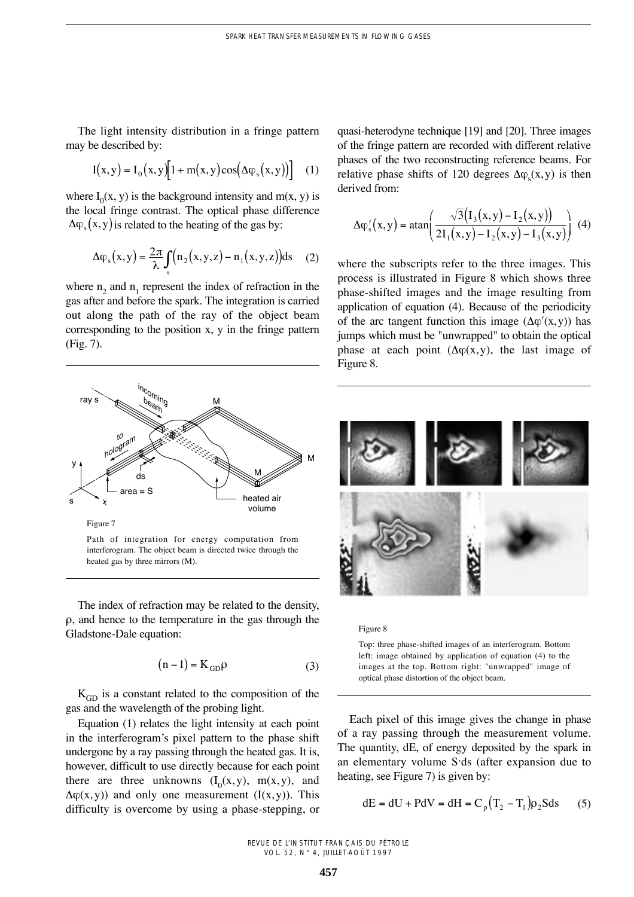The light intensity distribution in a fringe pattern may be described by:

$$
I(x,y) = I_0(x,y)[1 + m(x,y)\cos(\Delta\varphi_s(x,y))]
$$
 (1)

where  $I_0(x, y)$  is the background intensity and m(x, y) is the local fringe contrast. The optical phase difference  $\Delta \varphi$ <sub>s</sub> $(x, y)$  is related to the heating of the gas by:

$$
\Delta \varphi_s(x, y) = \frac{2\pi}{\lambda} \int_s (n_2(x, y, z) - n_1(x, y, z)) ds \quad (2)
$$

where  $n_2$  and  $n_1$  represent the index of refraction in the gas after and before the spark. The integration is carried out along the path of the ray of the object beam corresponding to the position x, y in the fringe pattern (Fig. 7).



Path of integration for energy computation from interferogram. The object beam is directed twice through the heated gas by three mirrors (M).

The index of refraction may be related to the density,  $\rho$ , and hence to the temperature in the gas through the Gladstone-Dale equation:

$$
(n-1) = K_{GD}\rho
$$
 (3)

 $K<sub>GD</sub>$  is a constant related to the composition of the gas and the wavelength of the probing light.

Equation (1) relates the light intensity at each point in the interferogram's pixel pattern to the phase shift undergone by a ray passing through the heated gas. It is, however, difficult to use directly because for each point there are three unknowns  $(I_0(x,y), m(x,y))$ , and  $\Delta \varphi(x, y)$  and only one measurement (I(x,y)). This difficulty is overcome by using a phase-stepping, or

quasi-heterodyne technique [19] and [20]. Three images of the fringe pattern are recorded with different relative phases of the two reconstructing reference beams. For relative phase shifts of 120 degrees  $\Delta \varphi_{s}(x, y)$  is then derived from:

$$
\Delta \varphi'_{s}(x, y) = \text{atan}\left(\frac{\sqrt{3}(I_3(x, y) - I_2(x, y))}{2I_1(x, y) - I_2(x, y) - I_3(x, y)}\right)
$$
(4)

where the subscripts refer to the three images. This process is illustrated in Figure 8 which shows three phase-shifted images and the image resulting from application of equation (4). Because of the periodicity of the arc tangent function this image  $(\Delta \varphi'(x,y))$  has jumps which must be "unwrapped" to obtain the optical phase at each point  $(\Delta \varphi(x, y))$ , the last image of Figure 8.





Top: three phase-shifted images of an interferogram. Bottom left: image obtained by application of equation (4) to the images at the top. Bottom right: "unwrapped" image of optical phase distortion of the object beam.

Each pixel of this image gives the change in phase of a ray passing through the measurement volume. The quantity, dE, of energy deposited by the spark in an elementary volume S·ds (after expansion due to heating, see Figure 7) is given by:

$$
dE = dU + PdV = dH = Cp (T2 - T1)\rho2Sds
$$
 (5)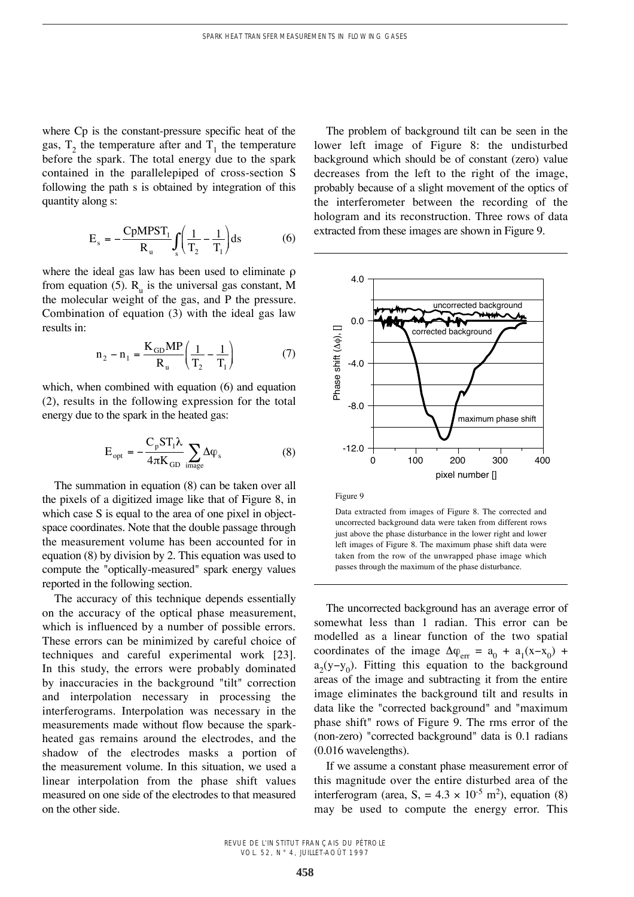where Cp is the constant-pressure specific heat of the gas,  $T_2$ , the temperature after and  $T_1$ , the temperature before the spark. The total energy due to the spark contained in the parallelepiped of cross-section S following the path s is obtained by integration of this quantity along s:

$$
E_s = -\frac{CpMPST_1}{R_u} \int_s \left(\frac{1}{T_2} - \frac{1}{T_1}\right) ds
$$
 (6)

where the ideal gas law has been used to eliminate  $\rho$ from equation (5).  $R_{\text{u}}$  is the universal gas constant, M the molecular weight of the gas, and P the pressure. Combination of equation (3) with the ideal gas law results in:

$$
n_2 - n_1 = \frac{K_{GD}MP}{R_u} \left( \frac{1}{T_2} - \frac{1}{T_1} \right)
$$
 (7)

which, when combined with equation (6) and equation (2), results in the following expression for the total energy due to the spark in the heated gas:

$$
E_{opt} = -\frac{C_p S T_1 \lambda}{4\pi K_{GD}} \sum_{\text{image}} \Delta \varphi_s
$$
 (8)

The summation in equation (8) can be taken over all the pixels of a digitized image like that of Figure 8, in which case S is equal to the area of one pixel in objectspace coordinates. Note that the double passage through the measurement volume has been accounted for in equation (8) by division by 2. This equation was used to compute the "optically-measured" spark energy values reported in the following section.

The accuracy of this technique depends essentially on the accuracy of the optical phase measurement, which is influenced by a number of possible errors. These errors can be minimized by careful choice of techniques and careful experimental work [23]. In this study, the errors were probably dominated by inaccuracies in the background "tilt" correction and interpolation necessary in processing the interferograms. Interpolation was necessary in the measurements made without flow because the sparkheated gas remains around the electrodes, and the shadow of the electrodes masks a portion of the measurement volume. In this situation, we used a linear interpolation from the phase shift values measured on one side of the electrodes to that measured on the other side.

The problem of background tilt can be seen in the lower left image of Figure 8: the undisturbed background which should be of constant (zero) value decreases from the left to the right of the image, probably because of a slight movement of the optics of the interferometer between the recording of the hologram and its reconstruction. Three rows of data extracted from these images are shown in Figure 9.



Figure 9

Data extracted from images of Figure 8. The corrected and uncorrected background data were taken from different rows just above the phase disturbance in the lower right and lower left images of Figure 8. The maximum phase shift data were taken from the row of the unwrapped phase image which passes through the maximum of the phase disturbance.

The uncorrected background has an average error of somewhat less than 1 radian. This error can be modelled as a linear function of the two spatial coordinates of the image  $\Delta \varphi_{err} = a_0 + a_1(x-x_0) +$  $a_2(y-y_0)$ . Fitting this equation to the background areas of the image and subtracting it from the entire image eliminates the background tilt and results in data like the "corrected background" and "maximum phase shift" rows of Figure 9. The rms error of the (non-zero) "corrected background" data is 0.1 radians (0.016 wavelengths).

If we assume a constant phase measurement error of this magnitude over the entire disturbed area of the interferogram (area, S, =  $4.3 \times 10^{-5}$  m<sup>2</sup>), equation (8) may be used to compute the energy error. This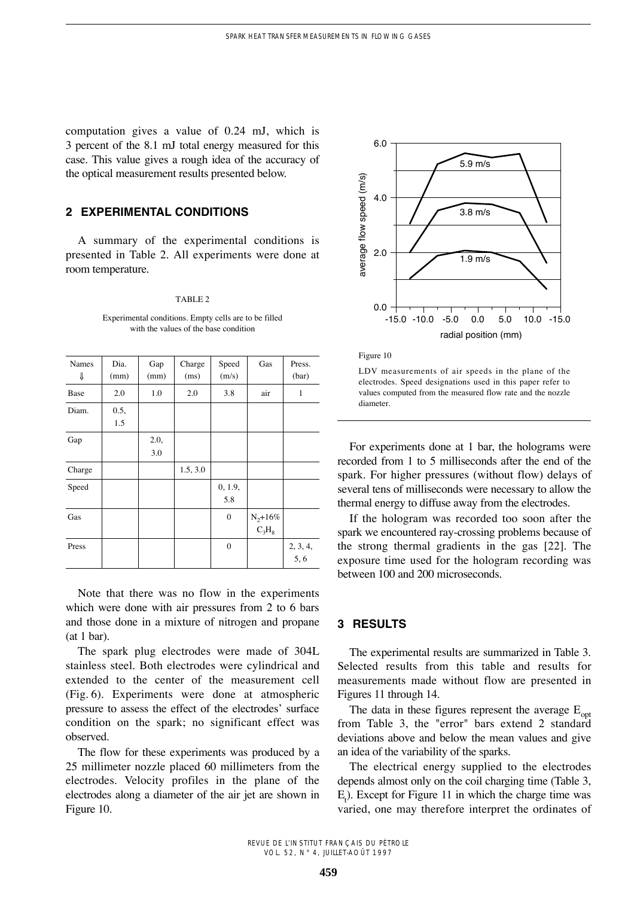computation gives a value of 0.24 mJ, which is 3 percent of the 8.1 mJ total energy measured for this case. This value gives a rough idea of the accuracy of the optical measurement results presented below.

# **2 EXPERIMENTAL CONDITIONS**

A summary of the experimental conditions is presented in Table 2. All experiments were done at room temperature.

### TABLE 2

Experimental conditions. Empty cells are to be filled with the values of the base condition

| Names  | Dia. | Gap  | Charge   | Speed            | Gas                   | Press.   |
|--------|------|------|----------|------------------|-----------------------|----------|
| ⇓      | (mm) | (mm) | (ms)     | (m/s)            |                       | (bar)    |
| Base   | 2.0  | 1.0  | 2.0      | 3.8              | air                   | 1        |
| Diam.  | 0.5, |      |          |                  |                       |          |
|        | 1.5  |      |          |                  |                       |          |
| Gap    |      | 2.0, |          |                  |                       |          |
|        |      | 3.0  |          |                  |                       |          |
| Charge |      |      | 1.5, 3.0 |                  |                       |          |
| Speed  |      |      |          | 0, 1.9,          |                       |          |
|        |      |      |          | 5.8              |                       |          |
| Gas    |      |      |          | $\boldsymbol{0}$ | $\rm N_2\text{+}16\%$ |          |
|        |      |      |          |                  | $C_3H_8$              |          |
| Press  |      |      |          | $\boldsymbol{0}$ |                       | 2, 3, 4, |
|        |      |      |          |                  |                       | 5, 6     |

Note that there was no flow in the experiments which were done with air pressures from 2 to 6 bars and those done in a mixture of nitrogen and propane (at 1 bar).

The spark plug electrodes were made of 304L stainless steel. Both electrodes were cylindrical and extended to the center of the measurement cell (Fig. 6). Experiments were done at atmospheric pressure to assess the effect of the electrodes' surface condition on the spark; no significant effect was observed.

The flow for these experiments was produced by a 25 millimeter nozzle placed 60 millimeters from the electrodes. Velocity profiles in the plane of the electrodes along a diameter of the air jet are shown in Figure 10.



Figure 10

LDV measurements of air speeds in the plane of the electrodes. Speed designations used in this paper refer to values computed from the measured flow rate and the nozzle diameter.

For experiments done at 1 bar, the holograms were recorded from 1 to 5 milliseconds after the end of the spark. For higher pressures (without flow) delays of several tens of milliseconds were necessary to allow the thermal energy to diffuse away from the electrodes.

If the hologram was recorded too soon after the spark we encountered ray-crossing problems because of the strong thermal gradients in the gas [22]. The exposure time used for the hologram recording was between 100 and 200 microseconds.

## **3 RESULTS**

The experimental results are summarized in Table 3. Selected results from this table and results for measurements made without flow are presented in Figures 11 through 14.

The data in these figures represent the average  $E_{\text{opt}}$ from Table 3, the "error" bars extend 2 standard deviations above and below the mean values and give an idea of the variability of the sparks.

The electrical energy supplied to the electrodes depends almost only on the coil charging time (Table 3,  $E_t$ ). Except for Figure 11 in which the charge time was varied, one may therefore interpret the ordinates of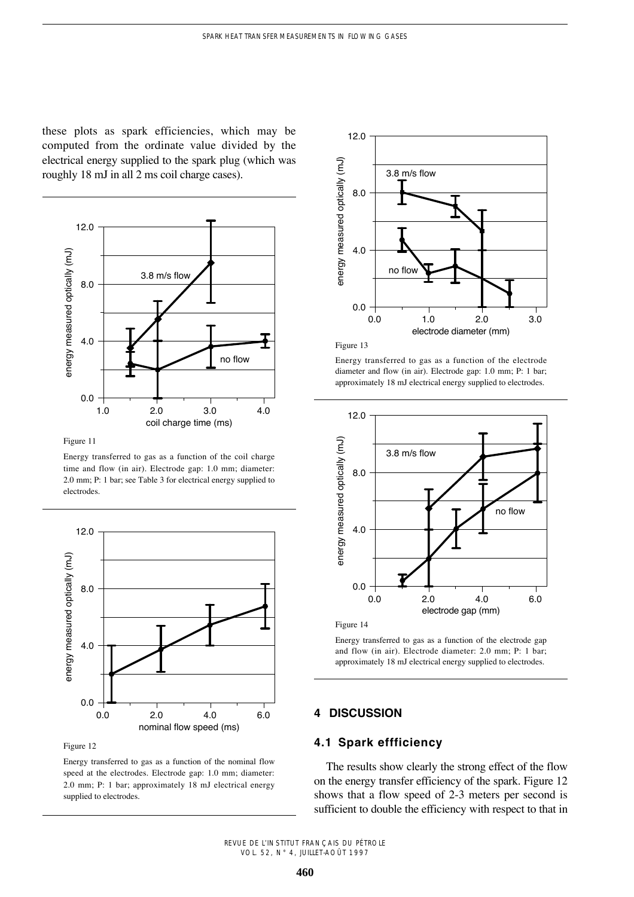these plots as spark efficiencies, which may be computed from the ordinate value divided by the electrical energy supplied to the spark plug (which was roughly 18 mJ in all 2 ms coil charge cases).



Figure 11

Energy transferred to gas as a function of the coil charge time and flow (in air). Electrode gap: 1.0 mm; diameter: 2.0 mm; P: 1 bar; see Table 3 for electrical energy supplied to electrodes.



Figure 12

Energy transferred to gas as a function of the nominal flow speed at the electrodes. Electrode gap: 1.0 mm; diameter: 2.0 mm; P: 1 bar; approximately 18 mJ electrical energy supplied to electrodes.





Energy transferred to gas as a function of the electrode diameter and flow (in air). Electrode gap: 1.0 mm; P: 1 bar; approximately 18 mJ electrical energy supplied to electrodes.





Energy transferred to gas as a function of the electrode gap and flow (in air). Electrode diameter: 2.0 mm; P: 1 bar; approximately 18 mJ electrical energy supplied to electrodes.

# **4 DISCUSSION**

# **4.1 Spark effficiency**

The results show clearly the strong effect of the flow on the energy transfer efficiency of the spark. Figure 12 shows that a flow speed of 2-3 meters per second is sufficient to double the efficiency with respect to that in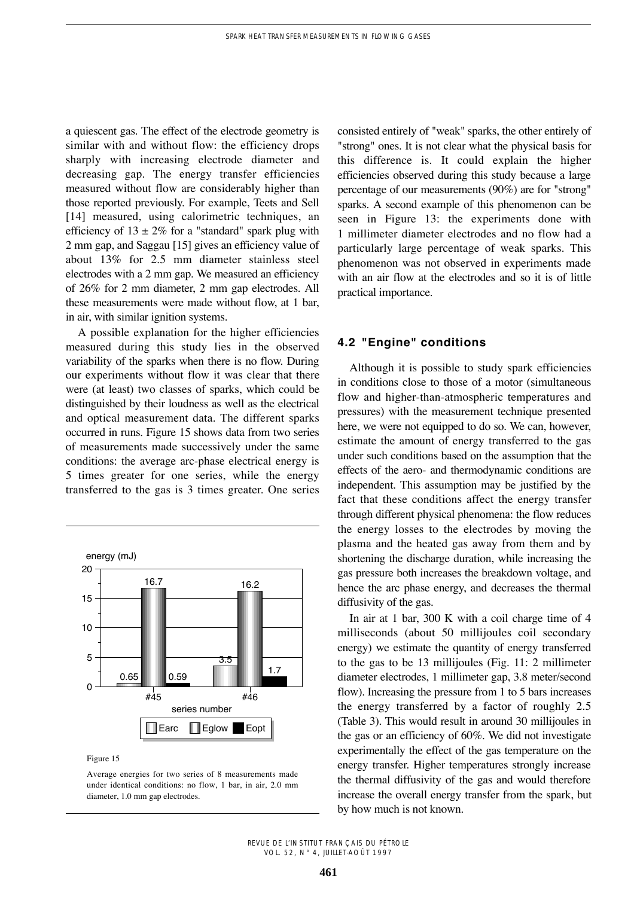a quiescent gas. The effect of the electrode geometry is similar with and without flow: the efficiency drops sharply with increasing electrode diameter and decreasing gap. The energy transfer efficiencies measured without flow are considerably higher than those reported previously. For example, Teets and Sell [14] measured, using calorimetric techniques, an efficiency of  $13 \pm 2\%$  for a "standard" spark plug with 2 mm gap, and Saggau [15] gives an efficiency value of about 13% for 2.5 mm diameter stainless steel electrodes with a 2 mm gap. We measured an efficiency of 26% for 2 mm diameter, 2 mm gap electrodes. All these measurements were made without flow, at 1 bar, in air, with similar ignition systems.

A possible explanation for the higher efficiencies measured during this study lies in the observed variability of the sparks when there is no flow. During our experiments without flow it was clear that there were (at least) two classes of sparks, which could be distinguished by their loudness as well as the electrical and optical measurement data. The different sparks occurred in runs. Figure 15 shows data from two series of measurements made successively under the same conditions: the average arc-phase electrical energy is 5 times greater for one series, while the energy transferred to the gas is 3 times greater. One series



Figure 15

Average energies for two series of 8 measurements made under identical conditions: no flow, 1 bar, in air, 2.0 mm diameter, 1.0 mm gap electrodes.

consisted entirely of "weak" sparks, the other entirely of "strong" ones. It is not clear what the physical basis for this difference is. It could explain the higher efficiencies observed during this study because a large percentage of our measurements (90%) are for "strong" sparks. A second example of this phenomenon can be seen in Figure 13: the experiments done with 1 millimeter diameter electrodes and no flow had a particularly large percentage of weak sparks. This phenomenon was not observed in experiments made with an air flow at the electrodes and so it is of little practical importance.

# **4.2 "Engine" conditions**

Although it is possible to study spark efficiencies in conditions close to those of a motor (simultaneous flow and higher-than-atmospheric temperatures and pressures) with the measurement technique presented here, we were not equipped to do so. We can, however, estimate the amount of energy transferred to the gas under such conditions based on the assumption that the effects of the aero- and thermodynamic conditions are independent. This assumption may be justified by the fact that these conditions affect the energy transfer through different physical phenomena: the flow reduces the energy losses to the electrodes by moving the plasma and the heated gas away from them and by shortening the discharge duration, while increasing the gas pressure both increases the breakdown voltage, and hence the arc phase energy, and decreases the thermal diffusivity of the gas.

In air at 1 bar, 300 K with a coil charge time of 4 milliseconds (about 50 millijoules coil secondary energy) we estimate the quantity of energy transferred to the gas to be 13 millijoules (Fig. 11: 2 millimeter diameter electrodes, 1 millimeter gap, 3.8 meter/second flow). Increasing the pressure from 1 to 5 bars increases the energy transferred by a factor of roughly 2.5 (Table 3). This would result in around 30 millijoules in the gas or an efficiency of 60%. We did not investigate experimentally the effect of the gas temperature on the energy transfer. Higher temperatures strongly increase the thermal diffusivity of the gas and would therefore increase the overall energy transfer from the spark, but by how much is not known.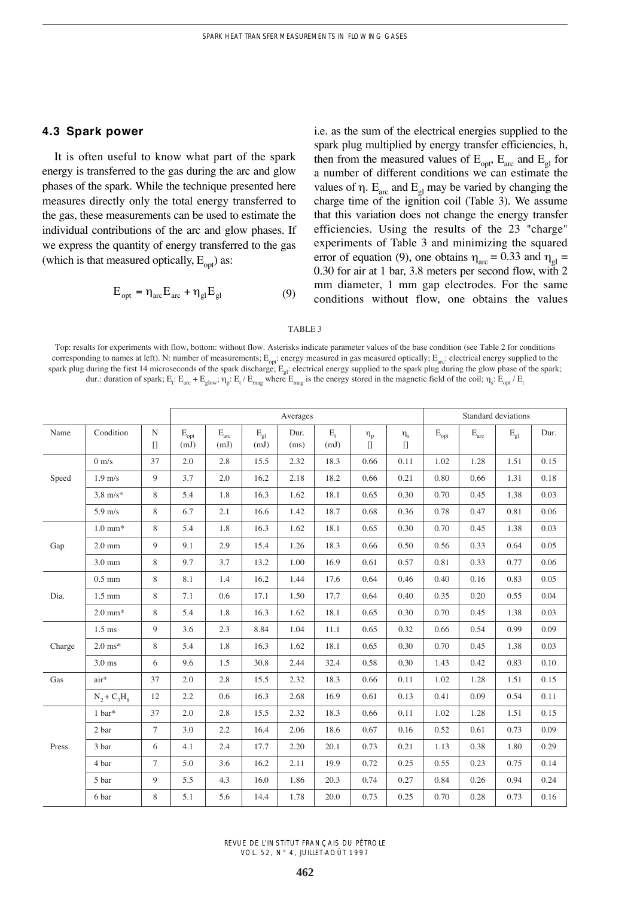## **4.3 Spark power**

It is often useful to know what part of the spark energy is transferred to the gas during the arc and glow phases of the spark. While the technique presented here measures directly only the total energy transferred to the gas, these measurements can be used to estimate the individual contributions of the arc and glow phases. If we express the quantity of energy transferred to the gas (which is that measured optically,  $E_{opt}$ ) as:

$$
E_{opt} = \eta_{arc} E_{arc} + \eta_{gl} E_{gl}
$$
 (9)

i.e. as the sum of the electrical energies supplied to the spark plug multiplied by energy transfer efficiencies, h, then from the measured values of  $E_{opt}$ ,  $E_{arc}$  and  $E_{gl}$  for a number of different conditions we can estimate the values of  $\eta$ .  $E_{\text{arc}}$  and  $E_{\text{gl}}$  may be varied by changing the charge time of the ignition coil (Table 3). We assume that this variation does not change the energy transfer efficiencies. Using the results of the 23 "charge" experiments of Table 3 and minimizing the squared error of equation (9), one obtains  $\eta_{\text{arc}} = 0.33$  and  $\eta_{\text{gl}} =$ 0.30 for air at 1 bar, 3.8 meters per second flow, with 2 mm diameter, 1 mm gap electrodes. For the same conditions without flow, one obtains the values

#### TABLE 3

Top: results for experiments with flow, bottom: without flow. Asterisks indicate parameter values of the base condition (see Table 2 for conditions corresponding to names at left). N: number of measurements;  $E_{opt}$ : energy measured in gas measured optically;  $E_{arc}$ : electrical energy supplied to the spark plug during the first 14 microseconds of the spark discharge;  $E_{el}$ : electrical energy supplied to the spark plug during the glow phase of the spark; dur.: duration of spark;  $E_t$ :  $E_{arc} + E_{glow}$ ;  $\eta_p$ :  $E_t$  /  $E_{mag}$  where  $E_{mag}$  is the energy stored in the magnetic field of the coil;  $\eta_s$ :  $E_{opt}$  /  $E_t$ 

|        |                     |                     | Averages                        |                                   |                                  |              |                                   |                          | Standard deviations      |                         |                           |                          |          |
|--------|---------------------|---------------------|---------------------------------|-----------------------------------|----------------------------------|--------------|-----------------------------------|--------------------------|--------------------------|-------------------------|---------------------------|--------------------------|----------|
| Name   | Condition           | $\mathbf N$<br>$[]$ | $\mathbf{E}_\text{opt}$<br>(mJ) | $\mathbf{E}_{\text{arc}}$<br>(mJ) | $\mathbf{E}_{\text{gl}}$<br>(mJ) | Dur.<br>(ms) | $\mathbf{E}_{\mathrm{t}}$<br>(mJ) | $\eta_{\rm p}$<br>$\Box$ | $\eta_{\rm s}$<br>$\Box$ | $\mathbf{E}_\text{opt}$ | $\mathbf{E}_{\text{arc}}$ | $\mathbf{E}_{\text{gl}}$ | Dur.     |
| Speed  | $0 \text{ m/s}$     | 37                  | $2.0\,$                         | 2.8                               | 15.5                             | 2.32         | 18.3                              | 0.66                     | 0.11                     | 1.02                    | 1.28                      | 1.51                     | 0.15     |
|        | $1.9$ m/s           | 9                   | 3.7                             | 2.0                               | 16.2                             | 2.18         | 18.2                              | 0.66                     | 0.21                     | 0.80                    | 0.66                      | 1.31                     | 0.18     |
|        | $3.8 \text{ m/s}^*$ | 8                   | 5.4                             | 1.8                               | 16.3                             | 1.62         | 18.1                              | 0.65                     | 0.30                     | 0.70                    | 0.45                      | 1.38                     | 0.03     |
|        | $5.9$ m/s           | 8                   | 6.7                             | 2.1                               | 16.6                             | 1.42         | 18.7                              | 0.68                     | 0.36                     | 0.78                    | 0.47                      | 0.81                     | 0.06     |
| Gap    | $1.0 \text{ mm}^*$  | 8                   | 5.4                             | 1.8                               | 16.3                             | 1.62         | 18.1                              | 0.65                     | 0.30                     | 0.70                    | 0.45                      | 1.38                     | 0.03     |
|        | $2.0 \text{ mm}$    | 9                   | 9.1                             | 2.9                               | 15.4                             | 1.26         | 18.3                              | 0.66                     | 0.50                     | 0.56                    | 0.33                      | 0.64                     | 0.05     |
|        | $3.0 \text{ mm}$    | 8                   | 9.7                             | 3.7                               | 13.2                             | 1.00         | 16.9                              | 0.61                     | 0.57                     | 0.81                    | 0.33                      | 0.77                     | 0.06     |
|        | $0.5$ mm            | 8                   | 8.1                             | 1.4                               | 16.2                             | 1.44         | 17.6                              | 0.64                     | 0.46                     | 0.40                    | 0.16                      | 0.83                     | 0.05     |
| Dia.   | $1.5 \text{ mm}$    | 8                   | 7.1                             | 0.6                               | 17.1                             | 1.50         | 17.7                              | 0.64                     | 0.40                     | 0.35                    | 0.20                      | 0.55                     | 0.04     |
|        | $2.0 \text{ mm}^*$  | 8                   | 5.4                             | 1.8                               | 16.3                             | 1.62         | 18.1                              | 0.65                     | 0.30                     | 0.70                    | 0.45                      | 1.38                     | 0.03     |
| Charge | $1.5$ ms            | 9                   | 3.6                             | 2.3                               | 8.84                             | 1.04         | 11.1                              | 0.65                     | 0.32                     | 0.66                    | 0.54                      | 0.99                     | 0.09     |
|        | $2.0 \text{ ms}^*$  | 8                   | 5.4                             | 1.8                               | 16.3                             | 1.62         | 18.1                              | 0.65                     | 0.30                     | 0.70                    | 0.45                      | 1.38                     | 0.03     |
|        | $3.0$ ms            | 6                   | 9.6                             | 1.5                               | 30.8                             | 2.44         | 32.4                              | 0.58                     | 0.30                     | 1.43                    | 0.42                      | 0.83                     | 0.10     |
| Gas    | air*                | 37                  | 2.0                             | 2.8                               | 15.5                             | 2.32         | 18.3                              | 0.66                     | 0.11                     | 1.02                    | 1.28                      | 1.51                     | 0.15     |
|        | $N_2 + C_3H_8$      | 12                  | 2.2                             | 0.6                               | 16.3                             | 2.68         | 16.9                              | 0.61                     | 0.13                     | 0.41                    | 0.09                      | 0.54                     | 0.11     |
|        | $1$ bar*            | 37                  | 2.0                             | 2.8                               | 15.5                             | 2.32         | 18.3                              | 0.66                     | 0.11                     | 1.02                    | 1.28                      | 1.51                     | 0.15     |
| Press. | 2 bar               | $\tau$              | 3.0                             | 2.2                               | 16.4                             | 2.06         | 18.6                              | 0.67                     | 0.16                     | 0.52                    | 0.61                      | 0.73                     | 0.09     |
|        | 3 bar               | 6                   | 4.1                             | 2.4                               | 17.7                             | 2.20         | 20.1                              | 0.73                     | 0.21                     | 1.13                    | 0.38                      | 1.80                     | 0.29     |
|        | 4 bar               | $\tau$              | 5.0                             | 3.6                               | 16.2                             | 2.11         | 19.9                              | 0.72                     | 0.25                     | 0.55                    | 0.23                      | 0.75                     | 0.14     |
|        | 5 bar               | 9                   | 5.5                             | 4.3                               | 16.0                             | 1.86         | 20.3                              | 0.74                     | 0.27                     | 0.84                    | 0.26                      | 0.94                     | 0.24     |
|        | 6 bar               | 8                   | 5.1                             | 5.6                               | 14.4                             | 1.78         | 20.0                              | 0.73                     | 0.25                     | 0.70                    | 0.28                      | 0.73                     | $0.16\,$ |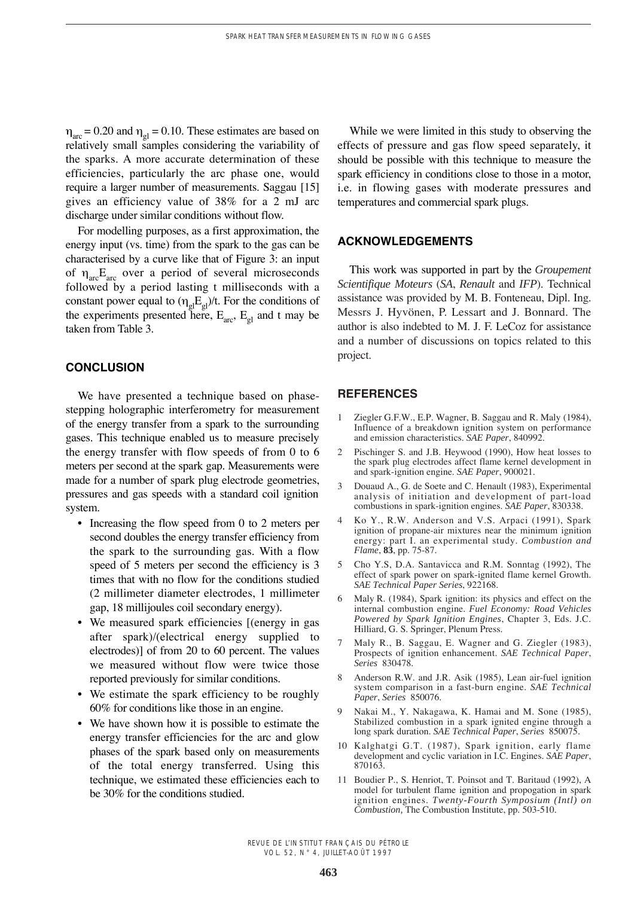$n_{\text{arc}} = 0.20$  and  $n_{\text{el}} = 0.10$ . These estimates are based on relatively small samples considering the variability of the sparks. A more accurate determination of these efficiencies, particularly the arc phase one, would require a larger number of measurements. Saggau [15] gives an efficiency value of 38% for a 2 mJ arc discharge under similar conditions without flow.

For modelling purposes, as a first approximation, the energy input (vs. time) from the spark to the gas can be characterised by a curve like that of Figure 3: an input of  $\eta_{\text{arc}}E_{\text{arc}}$  over a period of several microseconds followed by a period lasting t milliseconds with a constant power equal to  $(\eta_{gl}E_{gl})/t$ . For the conditions of the experiments presented here,  $E_{\text{arc}}$ ,  $E_{\text{el}}$  and t may be taken from Table 3.

# **CONCLUSION**

We have presented a technique based on phasestepping holographic interferometry for measurement of the energy transfer from a spark to the surrounding gases. This technique enabled us to measure precisely the energy transfer with flow speeds of from 0 to 6 meters per second at the spark gap. Measurements were made for a number of spark plug electrode geometries, pressures and gas speeds with a standard coil ignition system.

- Increasing the flow speed from 0 to 2 meters per second doubles the energy transfer efficiency from the spark to the surrounding gas. With a flow speed of 5 meters per second the efficiency is 3 times that with no flow for the conditions studied (2 millimeter diameter electrodes, 1 millimeter gap, 18 millijoules coil secondary energy).
- We measured spark efficiencies [(energy in gas after spark)/(electrical energy supplied to electrodes)] of from 20 to 60 percent. The values we measured without flow were twice those reported previously for similar conditions.
- We estimate the spark efficiency to be roughly 60% for conditions like those in an engine.
- We have shown how it is possible to estimate the energy transfer efficiencies for the arc and glow phases of the spark based only on measurements of the total energy transferred. Using this technique, we estimated these efficiencies each to be 30% for the conditions studied.

While we were limited in this study to observing the effects of pressure and gas flow speed separately, it should be possible with this technique to measure the spark efficiency in conditions close to those in a motor, i.e. in flowing gases with moderate pressures and temperatures and commercial spark plugs.

# **ACKNOWLEDGEMENTS**

This work was supported in part by the *Groupement Scientifique Moteurs* (*SA*, *Renault* and *IFP*). Technical assistance was provided by M. B. Fonteneau, Dipl. Ing. Messrs J. Hyvönen, P. Lessart and J. Bonnard. The author is also indebted to M. J. F. LeCoz for assistance and a number of discussions on topics related to this project.

## **REFERENCES**

- 1 Ziegler G.F.W., E.P. Wagner, B. Saggau and R. Maly (1984), Influence of a breakdown ignition system on performance and emission characteristics. *SAE Paper*, 840992.
- 2 Pischinger S. and J.B. Heywood (1990), How heat losses to the spark plug electrodes affect flame kernel development in and spark-ignition engine. *SAE Paper*, 900021.
- 3 Douaud A., G. de Soete and C. Henault (1983), Experimental analysis of initiation and development of part-load combustions in spark-ignition engines. *SAE Paper*, 830338.
- 4 Ko Y., R.W. Anderson and V.S. Arpaci (1991), Spark ignition of propane-air mixtures near the minimum ignition energy: part I. an experimental study. *Combustion and Flame*, **83**, pp. 75-87.
- 5 Cho Y.S, D.A. Santavicca and R.M. Sonntag (1992), The effect of spark power on spark-ignited flame kernel Growth. *SAE Technical Paper Series*, 922168.
- 6 Maly R. (1984), Spark ignition: its physics and effect on the internal combustion engine. *Fuel Economy: Road Vehicles Powered by Spark Ignition Engines*, Chapter 3, Eds. J.C. Hilliard, G. S. Springer, Plenum Press.
- 7 Maly R., B. Saggau, E. Wagner and G. Ziegler (1983), Prospects of ignition enhancement. *SAE Technical Paper*, *Series* 830478.
- 8 Anderson R.W. and J.R. Asik (1985), Lean air-fuel ignition system comparison in a fast-burn engine. *SAE Technical Paper*, *Series* 850076.
- 9 Nakai M., Y. Nakagawa, K. Hamai and M. Sone (1985), Stabilized combustion in a spark ignited engine through a long spark duration. *SAE Technical Paper*, *Series* 850075.
- 10 Kalghatgi G.T. (1987), Spark ignition, early flame development and cyclic variation in I.C. Engines. *SAE Paper*, 870163.
- 11 Boudier P., S. Henriot, T. Poinsot and T. Baritaud (1992), A model for turbulent flame ignition and propogation in spark ignition engines. *Twenty-Fourth Symposium (Intl) on Combustion,* The Combustion Institute, pp. 503-510.